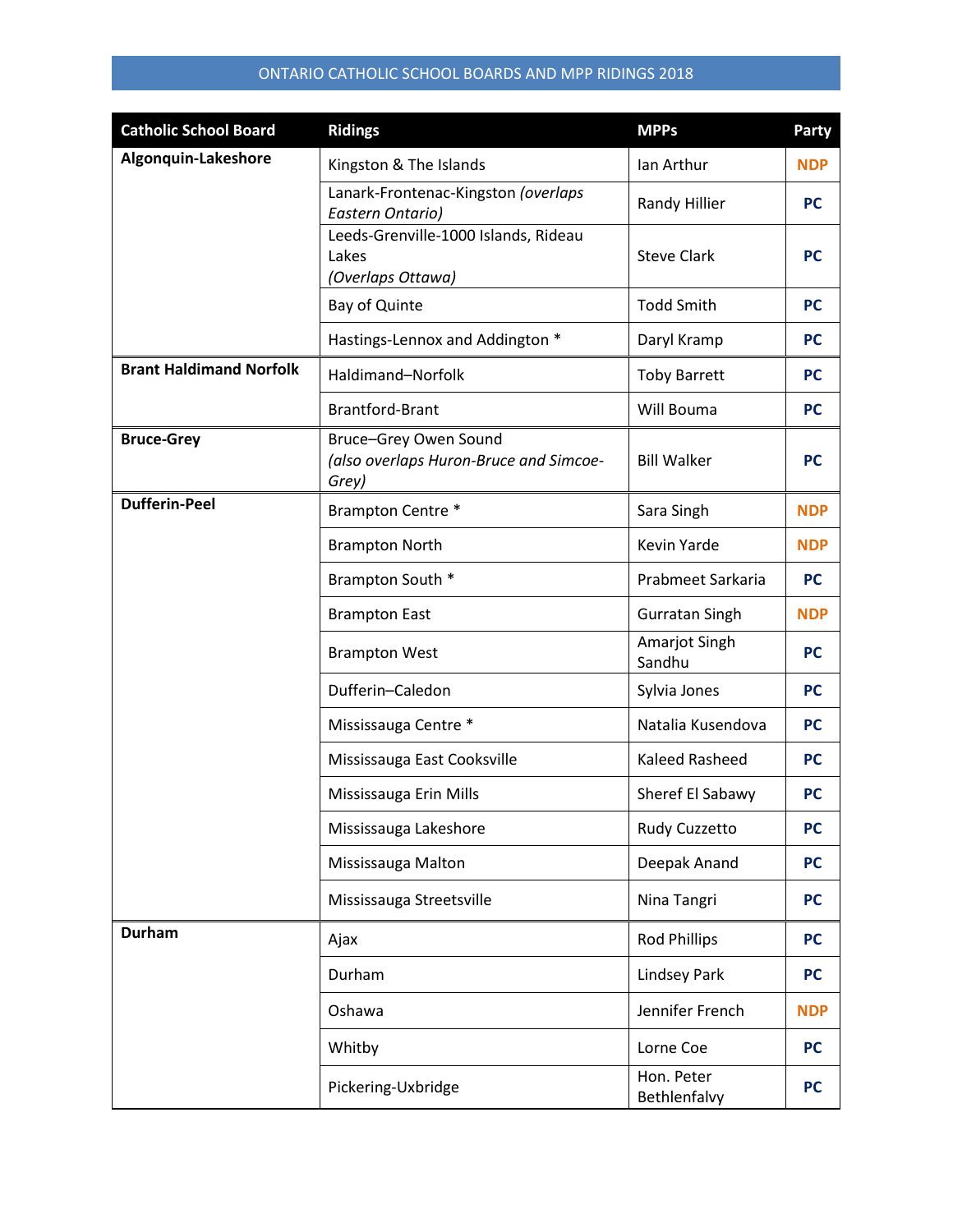| <b>Catholic School Board</b>   | <b>Ridings</b>                                                           | <b>MPPs</b>                | Party      |
|--------------------------------|--------------------------------------------------------------------------|----------------------------|------------|
| Algonquin-Lakeshore            | Kingston & The Islands                                                   | Ian Arthur                 | <b>NDP</b> |
|                                | Lanark-Frontenac-Kingston (overlaps<br>Eastern Ontario)                  | Randy Hillier              | <b>PC</b>  |
|                                | Leeds-Grenville-1000 Islands, Rideau<br>Lakes<br>(Overlaps Ottawa)       | <b>Steve Clark</b>         | <b>PC</b>  |
|                                | Bay of Quinte                                                            | <b>Todd Smith</b>          | <b>PC</b>  |
|                                | Hastings-Lennox and Addington *                                          | Daryl Kramp                | <b>PC</b>  |
| <b>Brant Haldimand Norfolk</b> | Haldimand-Norfolk                                                        | <b>Toby Barrett</b>        | <b>PC</b>  |
|                                | <b>Brantford-Brant</b>                                                   | Will Bouma                 | <b>PC</b>  |
| <b>Bruce-Grey</b>              | Bruce-Grey Owen Sound<br>(also overlaps Huron-Bruce and Simcoe-<br>Grey) | <b>Bill Walker</b>         | <b>PC</b>  |
| <b>Dufferin-Peel</b>           | Brampton Centre *                                                        | Sara Singh                 | <b>NDP</b> |
|                                | <b>Brampton North</b>                                                    | Kevin Yarde                | <b>NDP</b> |
|                                | Brampton South *                                                         | Prabmeet Sarkaria          | <b>PC</b>  |
|                                | <b>Brampton East</b>                                                     | <b>Gurratan Singh</b>      | <b>NDP</b> |
|                                | <b>Brampton West</b>                                                     | Amarjot Singh<br>Sandhu    | <b>PC</b>  |
|                                | Dufferin-Caledon                                                         | Sylvia Jones               | <b>PC</b>  |
|                                | Mississauga Centre *                                                     | Natalia Kusendova          | <b>PC</b>  |
|                                | Mississauga East Cooksville                                              | Kaleed Rasheed             | <b>PC</b>  |
|                                | Mississauga Erin Mills                                                   | Sheref El Sabawy           | <b>PC</b>  |
|                                | Mississauga Lakeshore                                                    | Rudy Cuzzetto              | <b>PC</b>  |
|                                | Mississauga Malton                                                       | Deepak Anand               | <b>PC</b>  |
|                                | Mississauga Streetsville                                                 | Nina Tangri                | <b>PC</b>  |
| <b>Durham</b>                  | Ajax                                                                     | <b>Rod Phillips</b>        | <b>PC</b>  |
|                                | Durham                                                                   | <b>Lindsey Park</b>        | <b>PC</b>  |
|                                | Oshawa                                                                   | Jennifer French            | <b>NDP</b> |
|                                | Whitby                                                                   | Lorne Coe                  | <b>PC</b>  |
|                                | Pickering-Uxbridge                                                       | Hon. Peter<br>Bethlenfalvy | <b>PC</b>  |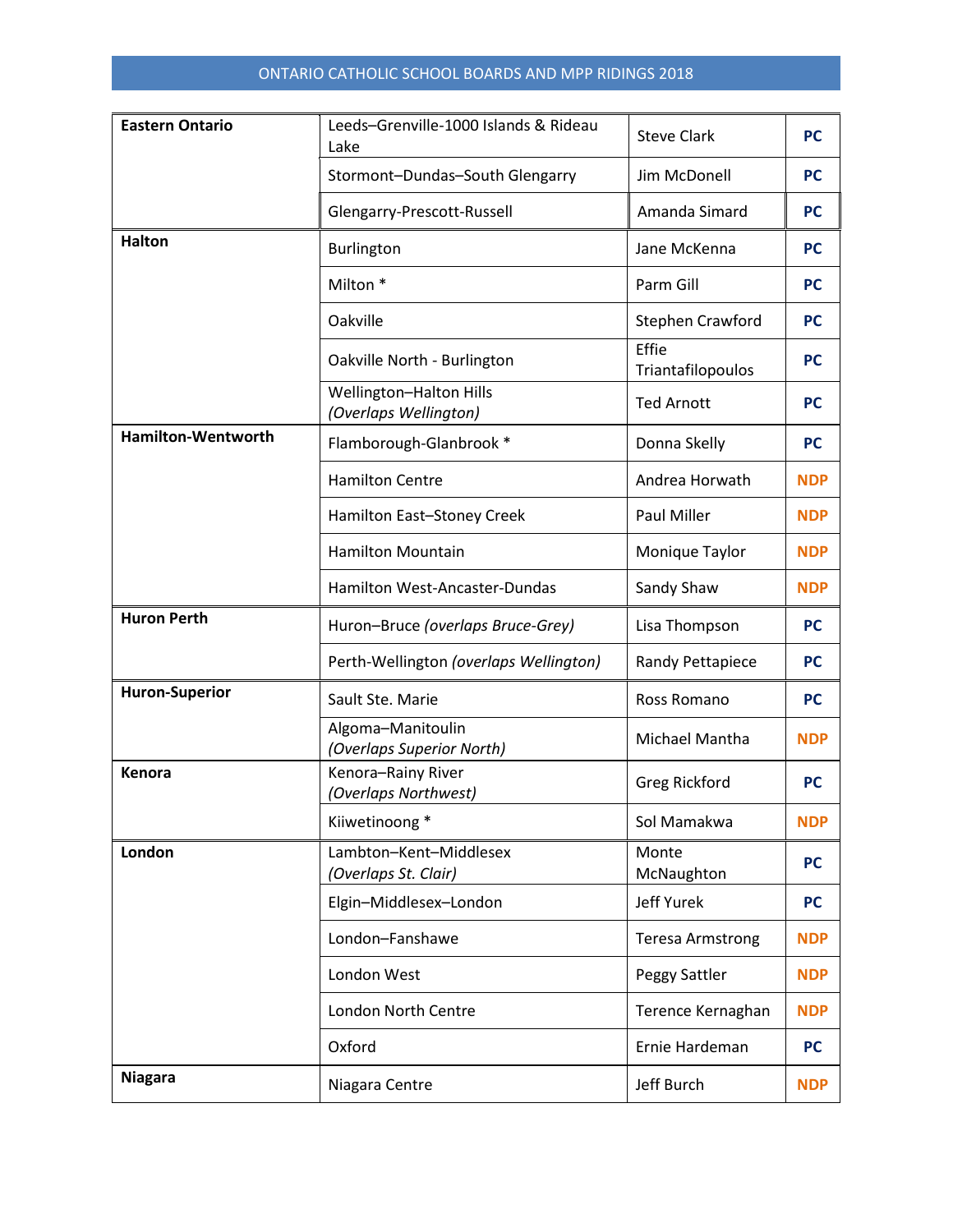| <b>Eastern Ontario</b>    | Leeds-Grenville-1000 Islands & Rideau<br>Lake    | <b>Steve Clark</b>         | <b>PC</b>  |
|---------------------------|--------------------------------------------------|----------------------------|------------|
|                           | Stormont-Dundas-South Glengarry                  | Jim McDonell               | <b>PC</b>  |
|                           | Glengarry-Prescott-Russell                       | Amanda Simard              | <b>PC</b>  |
| <b>Halton</b>             | Burlington                                       | Jane McKenna               | <b>PC</b>  |
|                           | Milton <sup>*</sup>                              | Parm Gill                  | <b>PC</b>  |
|                           | Oakville                                         | Stephen Crawford           | <b>PC</b>  |
|                           | Oakville North - Burlington                      | Effie<br>Triantafilopoulos | <b>PC</b>  |
|                           | Wellington-Halton Hills<br>(Overlaps Wellington) | <b>Ted Arnott</b>          | <b>PC</b>  |
| <b>Hamilton-Wentworth</b> | Flamborough-Glanbrook *                          | Donna Skelly               | <b>PC</b>  |
|                           | <b>Hamilton Centre</b>                           | Andrea Horwath             | <b>NDP</b> |
|                           | Hamilton East-Stoney Creek                       | <b>Paul Miller</b>         | <b>NDP</b> |
|                           | <b>Hamilton Mountain</b>                         | Monique Taylor             | <b>NDP</b> |
|                           | Hamilton West-Ancaster-Dundas                    | Sandy Shaw                 | <b>NDP</b> |
|                           |                                                  |                            |            |
| <b>Huron Perth</b>        | Huron-Bruce (overlaps Bruce-Grey)                | Lisa Thompson              | <b>PC</b>  |
|                           | Perth-Wellington (overlaps Wellington)           | Randy Pettapiece           | <b>PC</b>  |
| <b>Huron-Superior</b>     | Sault Ste. Marie                                 | Ross Romano                | <b>PC</b>  |
|                           | Algoma-Manitoulin<br>(Overlaps Superior North)   | Michael Mantha             | <b>NDP</b> |
| Kenora                    | Kenora-Rainy River<br>(Overlaps Northwest)       | Greg Rickford              | <b>PC</b>  |
|                           | Kiiwetinoong *                                   | Sol Mamakwa                | <b>NDP</b> |
| London                    | Lambton-Kent-Middlesex<br>(Overlaps St. Clair)   | Monte<br>McNaughton        | <b>PC</b>  |
|                           | Elgin-Middlesex-London                           | Jeff Yurek                 | <b>PC</b>  |
|                           | London-Fanshawe                                  | <b>Teresa Armstrong</b>    | <b>NDP</b> |
|                           | London West                                      | Peggy Sattler              | <b>NDP</b> |
|                           | London North Centre                              | Terence Kernaghan          | <b>NDP</b> |
|                           | Oxford                                           | Ernie Hardeman             | <b>PC</b>  |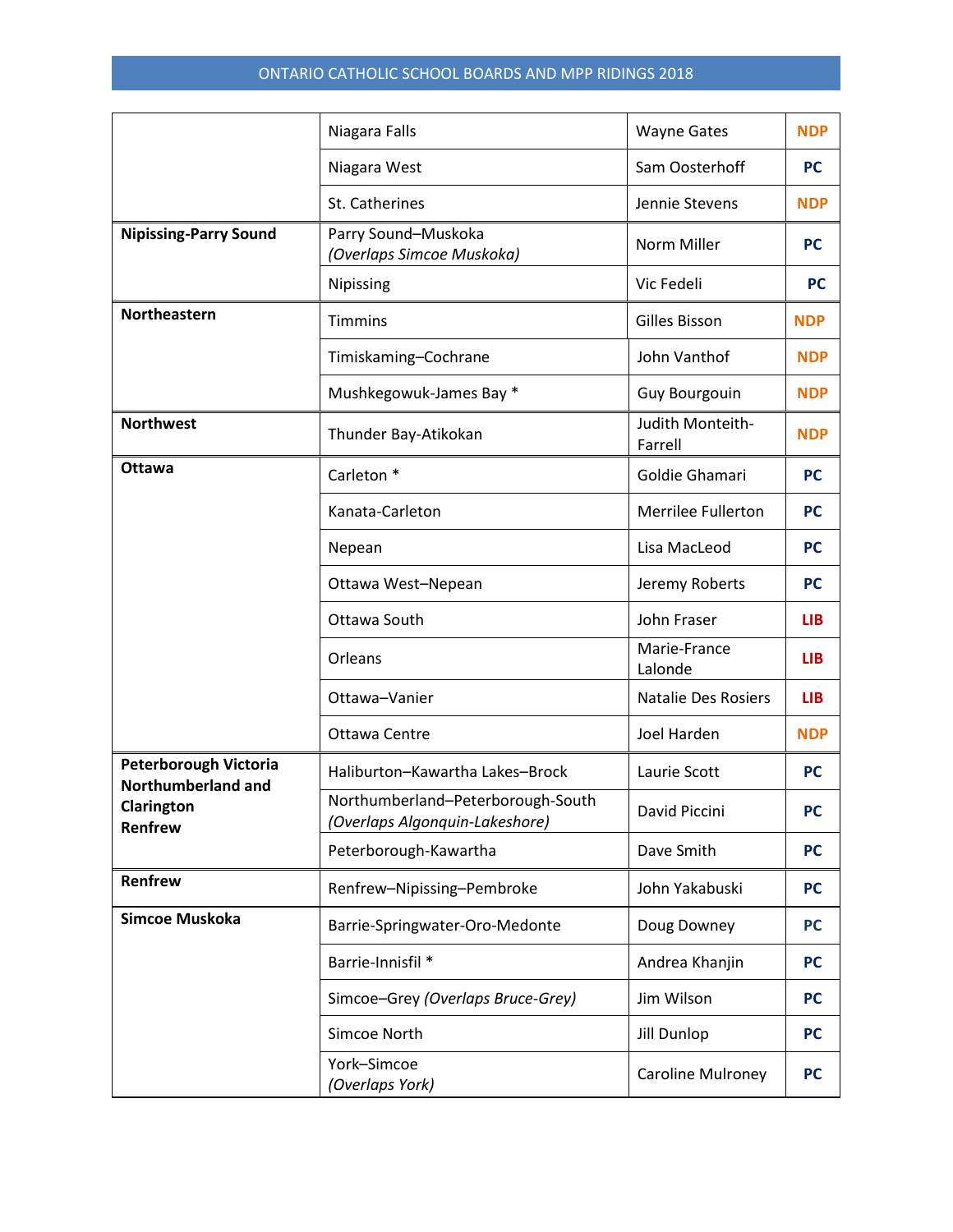|                                             | Niagara Falls                                                       | <b>Wayne Gates</b>          | <b>NDP</b> |
|---------------------------------------------|---------------------------------------------------------------------|-----------------------------|------------|
|                                             | Niagara West                                                        | Sam Oosterhoff              | <b>PC</b>  |
|                                             | St. Catherines                                                      | Jennie Stevens              | <b>NDP</b> |
| <b>Nipissing-Parry Sound</b>                | Parry Sound-Muskoka<br>(Overlaps Simcoe Muskoka)                    | Norm Miller                 | <b>PC</b>  |
|                                             | Nipissing                                                           | Vic Fedeli                  | <b>PC</b>  |
| Northeastern                                | <b>Timmins</b>                                                      | Gilles Bisson               | <b>NDP</b> |
|                                             | Timiskaming-Cochrane                                                | John Vanthof                | <b>NDP</b> |
|                                             | Mushkegowuk-James Bay *                                             | <b>Guy Bourgouin</b>        | <b>NDP</b> |
| <b>Northwest</b>                            | Thunder Bay-Atikokan                                                | Judith Monteith-<br>Farrell | <b>NDP</b> |
| <b>Ottawa</b>                               | Carleton <sup>*</sup>                                               | Goldie Ghamari              | <b>PC</b>  |
|                                             | Kanata-Carleton                                                     | Merrilee Fullerton          | <b>PC</b>  |
|                                             | Nepean                                                              | Lisa MacLeod                | <b>PC</b>  |
|                                             | Ottawa West-Nepean                                                  | Jeremy Roberts              | <b>PC</b>  |
|                                             | Ottawa South                                                        | John Fraser                 | <b>LIB</b> |
|                                             | Orleans                                                             | Marie-France<br>Lalonde     | <b>LIB</b> |
|                                             | Ottawa-Vanier                                                       | <b>Natalie Des Rosiers</b>  | <b>LIB</b> |
|                                             | Ottawa Centre                                                       | Joel Harden                 | <b>NDP</b> |
| Peterborough Victoria<br>Northumberland and | Haliburton-Kawartha Lakes-Brock                                     | Laurie Scott                | <b>PC</b>  |
| Clarington<br>Renfrew                       | Northumberland-Peterborough-South<br>(Overlaps Algonquin-Lakeshore) | David Piccini               | PC         |
|                                             | Peterborough-Kawartha                                               | Dave Smith                  | <b>PC</b>  |
| Renfrew                                     | Renfrew-Nipissing-Pembroke                                          | John Yakabuski              | <b>PC</b>  |
| Simcoe Muskoka                              | Barrie-Springwater-Oro-Medonte                                      | Doug Downey                 | <b>PC</b>  |
|                                             | Barrie-Innisfil *                                                   | Andrea Khanjin              | <b>PC</b>  |
|                                             | Simcoe-Grey (Overlaps Bruce-Grey)                                   | Jim Wilson                  | <b>PC</b>  |
|                                             | Simcoe North                                                        | <b>Jill Dunlop</b>          | <b>PC</b>  |
|                                             | York-Simcoe<br>(Overlaps York)                                      | <b>Caroline Mulroney</b>    | <b>PC</b>  |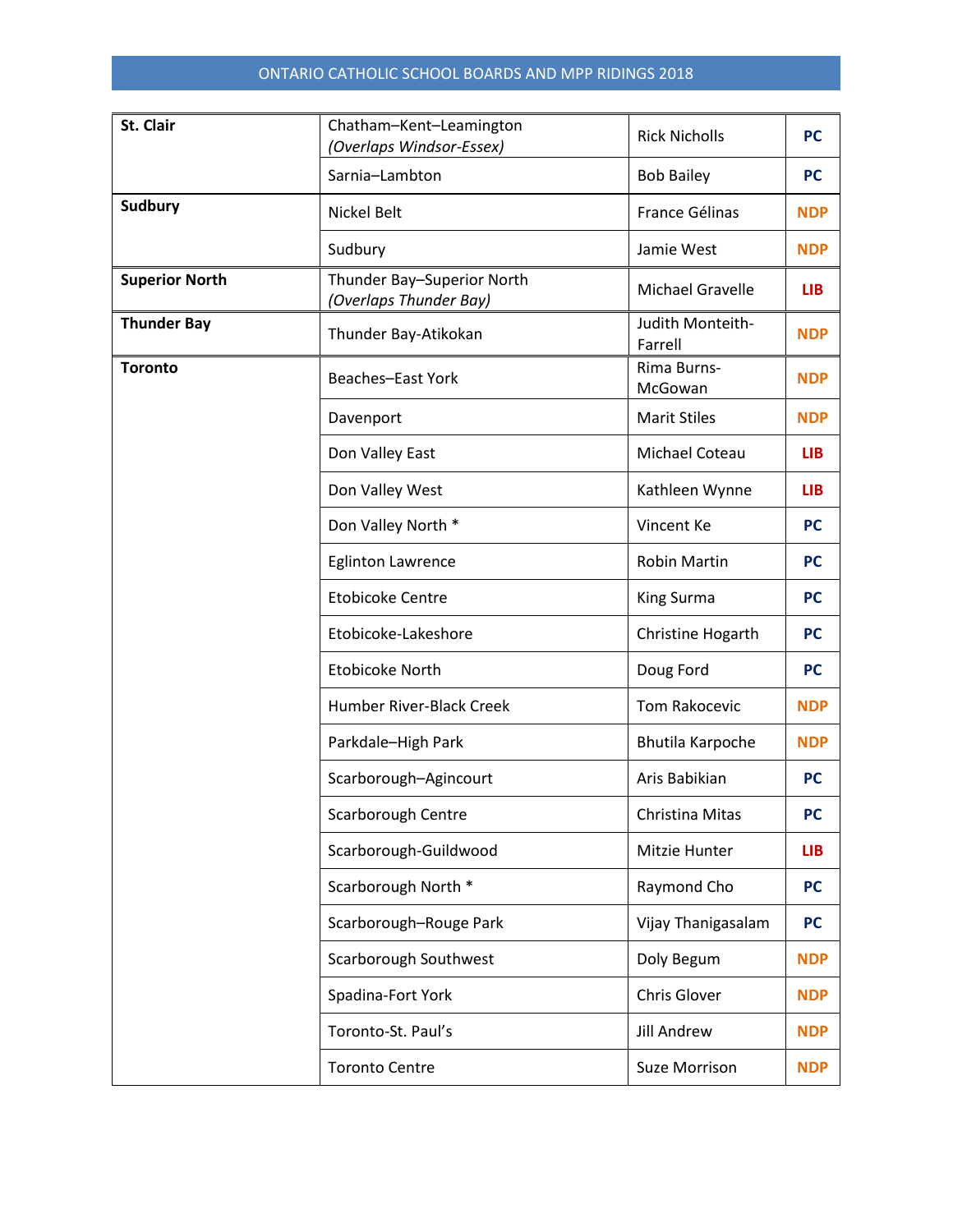| St. Clair             | Chatham-Kent-Leamington<br>(Overlaps Windsor-Essex)  | <b>Rick Nicholls</b>        | <b>PC</b>  |
|-----------------------|------------------------------------------------------|-----------------------------|------------|
|                       | Sarnia-Lambton                                       | <b>Bob Bailey</b>           | <b>PC</b>  |
| <b>Sudbury</b>        | Nickel Belt                                          | France Gélinas              | <b>NDP</b> |
|                       | Sudbury                                              | Jamie West                  | <b>NDP</b> |
| <b>Superior North</b> | Thunder Bay-Superior North<br>(Overlaps Thunder Bay) | Michael Gravelle            | <b>LIB</b> |
| <b>Thunder Bay</b>    | Thunder Bay-Atikokan                                 | Judith Monteith-<br>Farrell | <b>NDP</b> |
| <b>Toronto</b>        | <b>Beaches-East York</b>                             | Rima Burns-<br>McGowan      | <b>NDP</b> |
|                       | Davenport                                            | <b>Marit Stiles</b>         | <b>NDP</b> |
|                       | Don Valley East                                      | Michael Coteau              | <b>LIB</b> |
|                       | Don Valley West                                      | Kathleen Wynne              | <b>LIB</b> |
|                       | Don Valley North *                                   | Vincent Ke                  | <b>PC</b>  |
|                       | <b>Eglinton Lawrence</b>                             | <b>Robin Martin</b>         | <b>PC</b>  |
|                       | <b>Etobicoke Centre</b>                              | King Surma                  | <b>PC</b>  |
|                       | Etobicoke-Lakeshore                                  | Christine Hogarth           | <b>PC</b>  |
|                       | <b>Etobicoke North</b>                               | Doug Ford                   | <b>PC</b>  |
|                       | Humber River-Black Creek                             | Tom Rakocevic               | <b>NDP</b> |
|                       | Parkdale-High Park                                   | <b>Bhutila Karpoche</b>     | <b>NDP</b> |
|                       | Scarborough-Agincourt                                | Aris Babikian               | <b>PC</b>  |
|                       | Scarborough Centre                                   | Christina Mitas             | <b>PC</b>  |
|                       | Scarborough-Guildwood                                | Mitzie Hunter               | <b>LIB</b> |
|                       | Scarborough North *                                  | Raymond Cho                 | <b>PC</b>  |
|                       | Scarborough-Rouge Park                               | Vijay Thanigasalam          | <b>PC</b>  |
|                       | Scarborough Southwest                                | Doly Begum                  | <b>NDP</b> |
|                       | Spadina-Fort York                                    | Chris Glover                | <b>NDP</b> |
|                       | Toronto-St. Paul's                                   | <b>Jill Andrew</b>          | <b>NDP</b> |
|                       | <b>Toronto Centre</b>                                | <b>Suze Morrison</b>        | <b>NDP</b> |